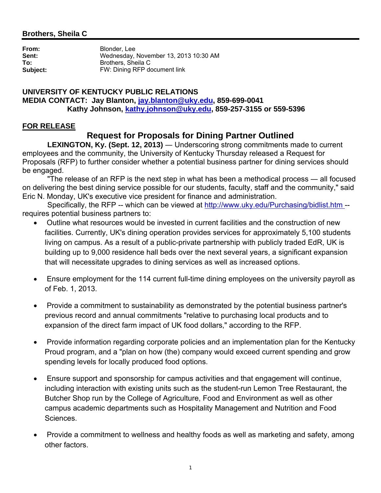## **Brothers, Sheila C**

**From:** Blonder, Lee **Sent:** Wednesday, November 13, 2013 10:30 AM<br> **To:** Brothers. Sheila C **To:** Brothers, Sheila C **Subject:** FW: Dining RFP document link

### **UNIVERSITY OF KENTUCKY PUBLIC RELATIONS MEDIA CONTACT: Jay Blanton, jay.blanton@uky.edu, 859-699-0041 Kathy Johnson, kathy.johnson@uky.edu, 859-257-3155 or 559-5396**

### **FOR RELEASE**

# **Request for Proposals for Dining Partner Outlined**

**LEXINGTON, Ky. (Sept. 12, 2013)** — Underscoring strong commitments made to current employees and the community, the University of Kentucky Thursday released a Request for Proposals (RFP) to further consider whether a potential business partner for dining services should be engaged.

 "The release of an RFP is the next step in what has been a methodical process ― all focused on delivering the best dining service possible for our students, faculty, staff and the community," said Eric N. Monday, UK's executive vice president for finance and administration.

 Specifically, the RFP -- which can be viewed at http://www.uky.edu/Purchasing/bidlist.htm - requires potential business partners to:

- Outline what resources would be invested in current facilities and the construction of new facilities. Currently, UK's dining operation provides services for approximately 5,100 students living on campus. As a result of a public-private partnership with publicly traded EdR, UK is building up to 9,000 residence hall beds over the next several years, a significant expansion that will necessitate upgrades to dining services as well as increased options.
- Ensure employment for the 114 current full-time dining employees on the university payroll as of Feb. 1, 2013.
- Provide a commitment to sustainability as demonstrated by the potential business partner's previous record and annual commitments "relative to purchasing local products and to expansion of the direct farm impact of UK food dollars," according to the RFP.
- Provide information regarding corporate policies and an implementation plan for the Kentucky Proud program, and a "plan on how (the) company would exceed current spending and grow spending levels for locally produced food options.
- Ensure support and sponsorship for campus activities and that engagement will continue, including interaction with existing units such as the student-run Lemon Tree Restaurant, the Butcher Shop run by the College of Agriculture, Food and Environment as well as other campus academic departments such as Hospitality Management and Nutrition and Food Sciences.
- Provide a commitment to wellness and healthy foods as well as marketing and safety, among other factors.